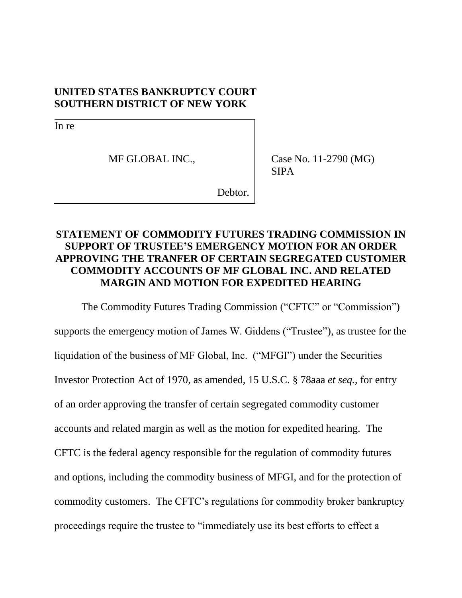### **UNITED STATES BANKRUPTCY COURT SOUTHERN DISTRICT OF NEW YORK**

In re

MF GLOBAL INC.,

Case No. 11-2790 (MG) SIPA

Debtor.

## **STATEMENT OF COMMODITY FUTURES TRADING COMMISSION IN SUPPORT OF TRUSTEE'S EMERGENCY MOTION FOR AN ORDER APPROVING THE TRANFER OF CERTAIN SEGREGATED CUSTOMER COMMODITY ACCOUNTS OF MF GLOBAL INC. AND RELATED MARGIN AND MOTION FOR EXPEDITED HEARING**

The Commodity Futures Trading Commission ("CFTC" or "Commission") supports the emergency motion of James W. Giddens ("Trustee"), as trustee for the liquidation of the business of MF Global, Inc. ("MFGI") under the Securities Investor Protection Act of 1970, as amended, 15 U.S.C. § 78aaa *et seq.,* for entry of an order approving the transfer of certain segregated commodity customer accounts and related margin as well as the motion for expedited hearing. The CFTC is the federal agency responsible for the regulation of commodity futures and options, including the commodity business of MFGI, and for the protection of commodity customers. The CFTC's regulations for commodity broker bankruptcy proceedings require the trustee to "immediately use its best efforts to effect a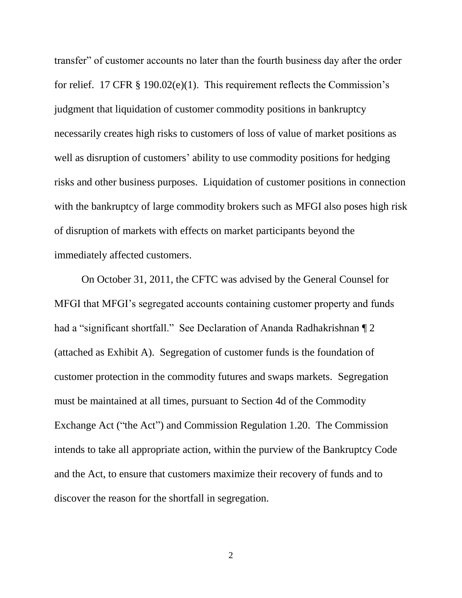transfer" of customer accounts no later than the fourth business day after the order for relief. 17 CFR § 190.02(e)(1). This requirement reflects the Commission's judgment that liquidation of customer commodity positions in bankruptcy necessarily creates high risks to customers of loss of value of market positions as well as disruption of customers' ability to use commodity positions for hedging risks and other business purposes. Liquidation of customer positions in connection with the bankruptcy of large commodity brokers such as MFGI also poses high risk of disruption of markets with effects on market participants beyond the immediately affected customers.

On October 31, 2011, the CFTC was advised by the General Counsel for MFGI that MFGI's segregated accounts containing customer property and funds had a "significant shortfall." See Declaration of Ananda Radhakrishnan ¶ 2 (attached as Exhibit A). Segregation of customer funds is the foundation of customer protection in the commodity futures and swaps markets. Segregation must be maintained at all times, pursuant to Section 4d of the Commodity Exchange Act ("the Act") and Commission Regulation 1.20. The Commission intends to take all appropriate action, within the purview of the Bankruptcy Code and the Act, to ensure that customers maximize their recovery of funds and to discover the reason for the shortfall in segregation.

2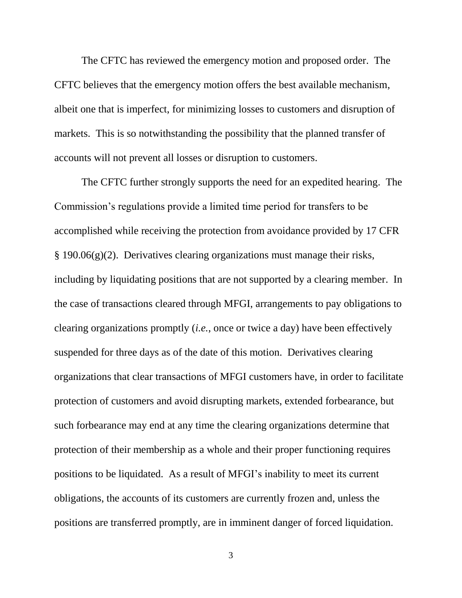The CFTC has reviewed the emergency motion and proposed order. The CFTC believes that the emergency motion offers the best available mechanism, albeit one that is imperfect, for minimizing losses to customers and disruption of markets. This is so notwithstanding the possibility that the planned transfer of accounts will not prevent all losses or disruption to customers.

The CFTC further strongly supports the need for an expedited hearing. The Commission's regulations provide a limited time period for transfers to be accomplished while receiving the protection from avoidance provided by 17 CFR § 190.06(g)(2). Derivatives clearing organizations must manage their risks, including by liquidating positions that are not supported by a clearing member. In the case of transactions cleared through MFGI, arrangements to pay obligations to clearing organizations promptly (*i.e.*, once or twice a day) have been effectively suspended for three days as of the date of this motion. Derivatives clearing organizations that clear transactions of MFGI customers have, in order to facilitate protection of customers and avoid disrupting markets, extended forbearance, but such forbearance may end at any time the clearing organizations determine that protection of their membership as a whole and their proper functioning requires positions to be liquidated. As a result of MFGI's inability to meet its current obligations, the accounts of its customers are currently frozen and, unless the positions are transferred promptly, are in imminent danger of forced liquidation.

3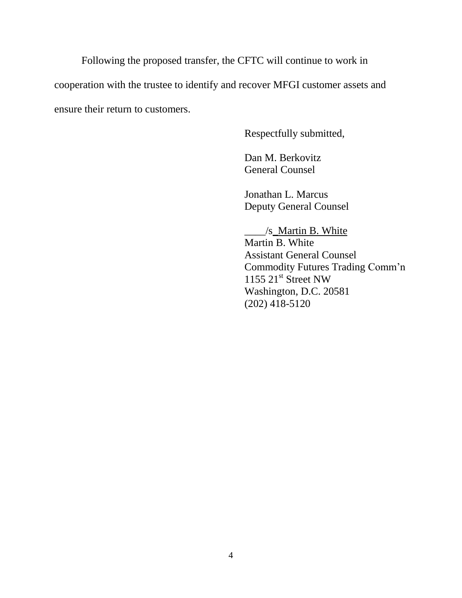Following the proposed transfer, the CFTC will continue to work in cooperation with the trustee to identify and recover MFGI customer assets and ensure their return to customers.

Respectfully submitted,

Dan M. Berkovitz General Counsel

Jonathan L. Marcus Deputy General Counsel

\_\_\_\_/s\_Martin B. White Martin B. White Assistant General Counsel Commodity Futures Trading Comm'n  $1155$   $21<sup>st</sup>$  Street NW Washington, D.C. 20581 (202) 418-5120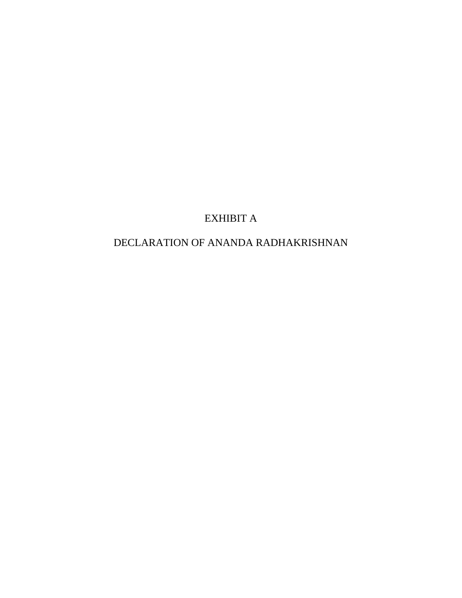## EXHIBIT A

# DECLARATION OF ANANDA RADHAKRISHNAN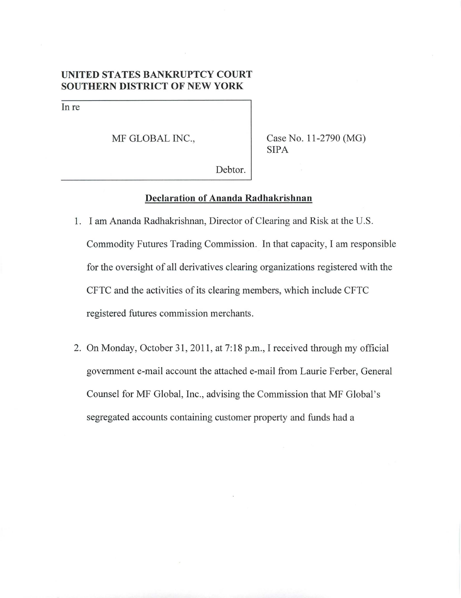### **UNITED STATES BANKRUPTCY COURT SOUTHERN DISTRICT OF NEW YORK**

In re

MF GLOBAL INC.,

Case No. 11-2790 (MG) SIPA

Debtor.

#### **Declaration of Ananda Radhakrishnan**

- 1. I am Ananda Radhakrishnan, Director of Clearing and Risk at the U.S. Commodity Futures Trading Commission. In that capacity, I am responsible for the oversight of all derivatives clearing organizations registered with the CFTC and the activities of its clearing members, which include CFTC registered futures commission merchants.
- 2. On Monday, October 31, 2011, at 7:18 p.m., I received through my official government e-mail account the attached e-mail from Laurie Ferber, General Counsel for MF Global, Inc., advising the Commission that MF Global's segregated accounts containing customer property and funds had a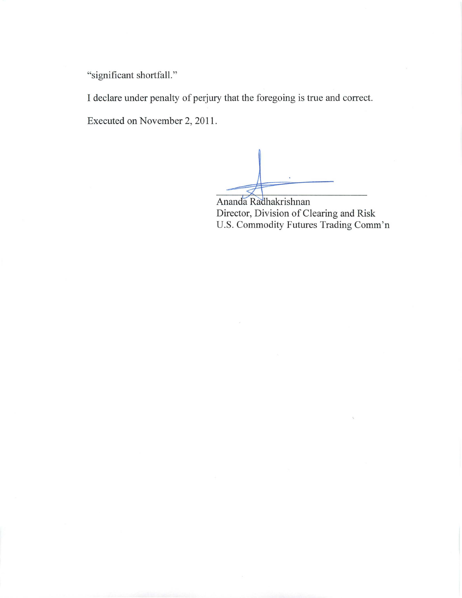"significant shortfall."

I declare under penalty of perjury that the foregoing is true and correct.

Executed on November 2,2011.

Ananda Radhakrishnan Director, Division of Clearing and Risk U.S. Commodity Futures Trading Comm'n